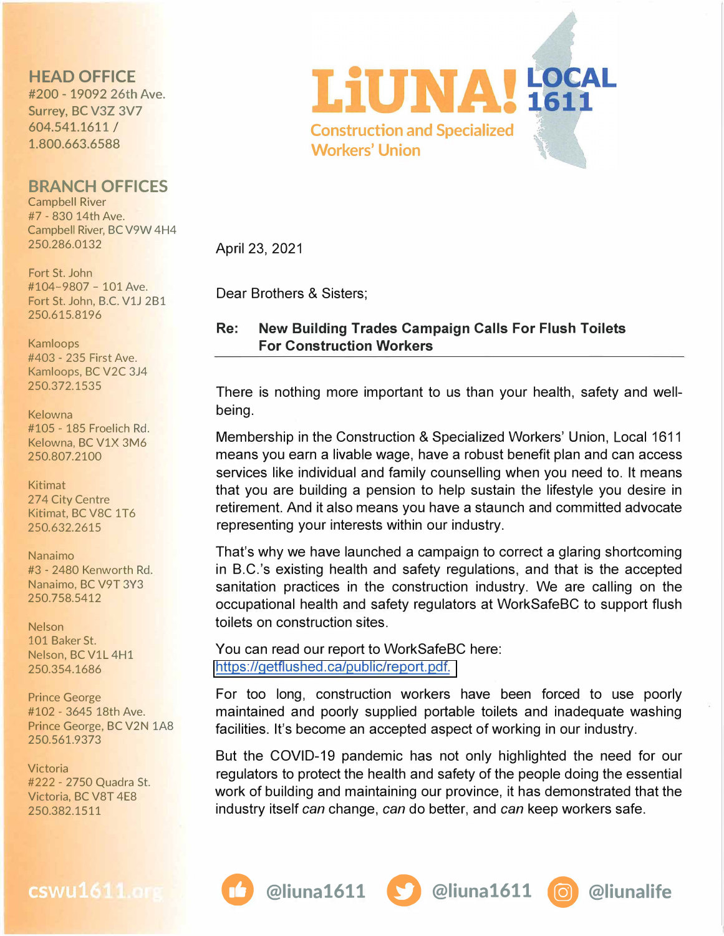## **HEAD OFFICE**

#200 - 19092 26th Ave. Surrey, BC V3Z 3V7 604.541.1611 I 1.800.663.6588

## **BRANCH OFFICES**

Campbell River #7 - 830 14th Ave. Campbell River, BC V9W 4H4 250.286.0132

Fort St. John #104-9807 - 101 Ave. Fort St. John, B.C. V1J 2B1 250.615.8196

Kamloops #403 - 235 First Ave. Kamloops, BC V2C 3J4 250.372.1535

Kelowna #105 - 185 Froelich Rd. Kelowna, BC V1X 3M6 250.807.2100

Kitimat 274 City Centre Kitimat, BC V8C 1T6 250.632.2615

Nanaimo #3 - 2480 Kenworth Rd. Nanaimo, BC V9T 3Y3 250.758.5412

Nelson 101 Baker St. Nelson, BC V1L 4H1 250.354.1686

Prince George #102 - 3645 18th Ave. Prince George, BC V2N 1A8 250.561.9373

Victoria #222 - 2750 Quadra St. Victoria, BC V8T 4E8 250.382.1511



April 23, 2021

Dear Brothers & Sisters;

## **Re: New Building Trades Campaign Calls For Flush Toilets For Construction Workers**

There is nothing more important to us than your health, safety and wellbeing.

Membership in the Construction & Specialized Workers' Union, Local 1611 means you earn a livable wage, have a robust benefit plan and can access services like individual and family counselling when you need to. It means that you are building a pension to help sustain the lifestyle you desire in retirement. And it also means you have a staunch and committed advocate representing your interests within our industry.

That's why we have launched a campaign to correct a glaring shortcoming in B.C.'s existing health and safety regulations, and that is the accepted sanitation practices in the construction industry. We are calling on the occupational health and safety regulators at WorkSafeBC to support flush toilets on construction sites.

You can read our report to WorkSafeBC here: [https://getflushed.ca/public/report.pdf.](https://getflushed.ca/public/report) 

For too long, construction workers have been forced to use poorly maintained and poorly supplied portable toilets and inadequate washing facilities. It's become an accepted aspect of working in our industry.

But the COVID-19 pandemic has not only highlighted the need for our regulators to protect the health and safety of the people doing the essential work of building and maintaining our province, it has demonstrated that the industry itself *can* change, *can* do better, and *can* keep workers safe.

*0* **@liuna1611 f.) @liuna1611 • @liunalife**